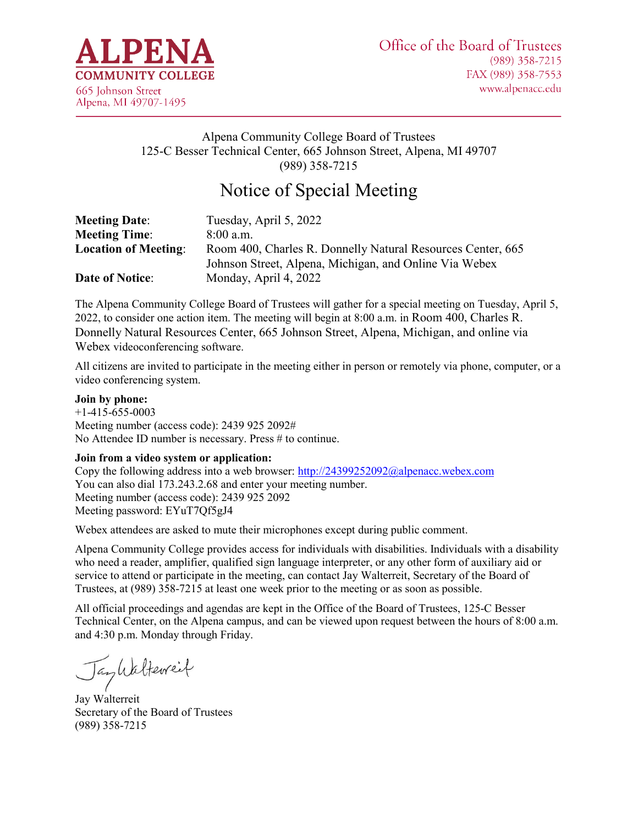

## Alpena Community College Board of Trustees 125-C Besser Technical Center, 665 Johnson Street, Alpena, MI 49707 (989) 358-7215

# Notice of Special Meeting

| <b>Meeting Date:</b>        | Tuesday, April 5, 2022                                      |
|-----------------------------|-------------------------------------------------------------|
| <b>Meeting Time:</b>        | $8:00$ a.m.                                                 |
| <b>Location of Meeting:</b> | Room 400, Charles R. Donnelly Natural Resources Center, 665 |
|                             | Johnson Street, Alpena, Michigan, and Online Via Webex      |
| <b>Date of Notice:</b>      | Monday, April 4, 2022                                       |

The Alpena Community College Board of Trustees will gather for a special meeting on Tuesday, April 5, 2022, to consider one action item. The meeting will begin at 8:00 a.m. in Room 400, Charles R. Donnelly Natural Resources Center, 665 Johnson Street, Alpena, Michigan, and online via Webex videoconferencing software.

All citizens are invited to participate in the meeting either in person or remotely via phone, computer, or a video conferencing system.

#### **Join by phone:**

+1-415-655-0003 Meeting number (access code): 2439 925 2092# No Attendee ID number is necessary. Press # to continue.

#### **Join from a video system or application:**

Copy the following address into a web browser:<http://24399252092@alpenacc.webex.com> You can also dial 173.243.2.68 and enter your meeting number. Meeting number (access code): 2439 925 2092 Meeting password: EYuT7Qf5gJ4

Webex attendees are asked to mute their microphones except during public comment.

Alpena Community College provides access for individuals with disabilities. Individuals with a disability who need a reader, amplifier, qualified sign language interpreter, or any other form of auxiliary aid or service to attend or participate in the meeting, can contact Jay Walterreit, Secretary of the Board of Trustees, at (989) 358-7215 at least one week prior to the meeting or as soon as possible.

All official proceedings and agendas are kept in the Office of the Board of Trustees, 125-C Besser Technical Center, on the Alpena campus, and can be viewed upon request between the hours of 8:00 a.m. and 4:30 p.m. Monday through Friday.

Jankalteweit

Jay Walterreit Secretary of the Board of Trustees (989) 358-7215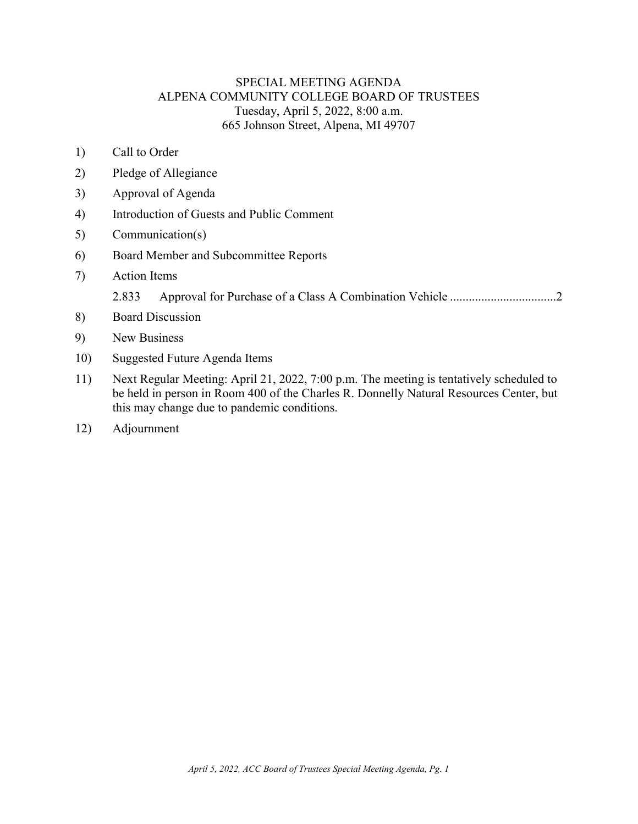## SPECIAL MEETING AGENDA ALPENA COMMUNITY COLLEGE BOARD OF TRUSTEES Tuesday, April 5, 2022, 8:00 a.m. 665 Johnson Street, Alpena, MI 49707

- 1) Call to Order
- 2) Pledge of Allegiance
- 3) Approval of Agenda
- 4) Introduction of Guests and Public Comment
- 5) Communication(s)
- 6) Board Member and Subcommittee Reports
- 7) Action Items
	- 2.833 [Approval for Purchase of a Class A Combination Vehicle](#page-2-0) ..................................2
- 8) Board Discussion
- 9) New Business
- 10) Suggested Future Agenda Items
- 11) Next Regular Meeting: April 21, 2022, 7:00 p.m. The meeting is tentatively scheduled to be held in person in Room 400 of the Charles R. Donnelly Natural Resources Center, but this may change due to pandemic conditions.
- 12) Adjournment